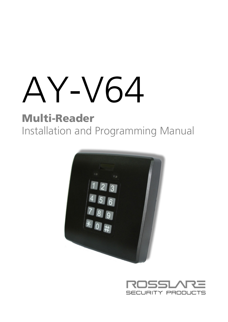# AY-V64

# Multi-Reader Installation and Programming Manual



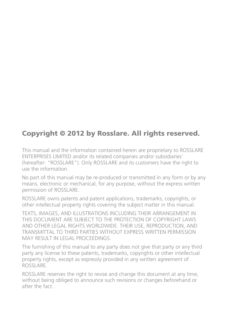# Copyright © 2012 by Rosslare. All rights reserved.

This manual and the information contained herein are proprietary to ROSSLARE ENTERPRISES LIMITED and/or its related companies and/or subsidiaries' (hereafter: "ROSSLARE"). Only ROSSLARE and its customers have the right to use the information.

No part of this manual may be re-produced or transmitted in any form or by any means, electronic or mechanical, for any purpose, without the express written permission of ROSSLARE.

ROSSLARE owns patents and patent applications, trademarks, copyrights, or other intellectual property rights covering the subject matter in this manual.

TEXTS, IMAGES, AND ILLUSTRATIONS INCLUDING THEIR ARRANGEMENT IN THIS DOCUMENT ARE SUBJECT TO THE PROTECTION OF COPYRIGHT LAWS AND OTHER LEGAL RIGHTS WORLDWIDE. THEIR USE, REPRODUCTION, AND TRANSMITTAL TO THIRD PARTIES WITHOUT EXPRESS WRITTEN PERMISSION MAY RESULT IN LEGAL PROCEEDINGS.

The furnishing of this manual to any party does not give that party or any third party any license to these patents, trademarks, copyrights or other intellectual property rights, except as expressly provided in any written agreement of ROSSLARE.

ROSSLARE reserves the right to revise and change this document at any time, without being obliged to announce such revisions or changes beforehand or after the fact.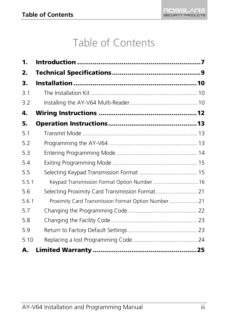# Table of Contents

| 1.    |                                                    |  |
|-------|----------------------------------------------------|--|
| 2.    |                                                    |  |
| з.    |                                                    |  |
| 3.1   |                                                    |  |
| 3.2   |                                                    |  |
| 4.    |                                                    |  |
| 5.    |                                                    |  |
| 5.1   |                                                    |  |
| 5.2   |                                                    |  |
| 5.3   |                                                    |  |
| 5.4   |                                                    |  |
| 5.5   |                                                    |  |
| 5.5.1 |                                                    |  |
| 5.6   | Selecting Proximity Card Transmission Format 21    |  |
| 5.6.1 | Proximity Card Transmission Format Option Number21 |  |
| 5.7   |                                                    |  |
| 5.8   |                                                    |  |
| 5.9   |                                                    |  |
| 5.10  |                                                    |  |
| А.    |                                                    |  |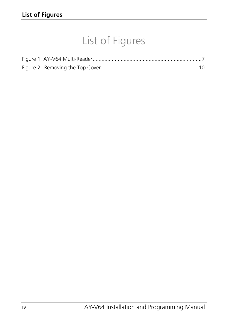# List of Figures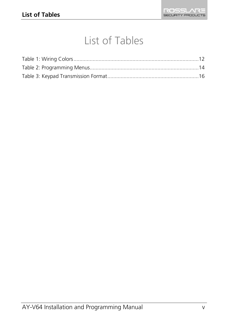# List of Tables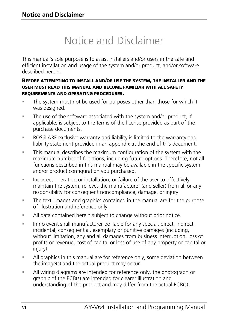# Notice and Disclaimer

This manual's sole purpose is to assist installers and/or users in the safe and efficient installation and usage of the system and/or product, and/or software described herein.

### BEFORE ATTEMPTING TO INSTALL AND/OR USE THE SYSTEM, THE INSTALLER AND THE USER MUST READ THIS MANUAL AND BECOME FAMILIAR WITH ALL SAFETY REQUIREMENTS AND OPERATING PROCEDURES.

- The system must not be used for purposes other than those for which it was designed.
- The use of the software associated with the system and/or product, if applicable, is subject to the terms of the license provided as part of the purchase documents.
- ROSSLARE exclusive warranty and liability is limited to the warranty and liability statement provided in an appendix at the end of this document.
- This manual describes the maximum configuration of the system with the maximum number of functions, including future options. Therefore, not all functions described in this manual may be available in the specific system and/or product configuration you purchased.
- **Incorrect operation or installation, or failure of the user to effectively** maintain the system, relieves the manufacturer (and seller) from all or any responsibility for consequent noncompliance, damage, or injury.
- The text, images and graphics contained in the manual are for the purpose of illustration and reference only.
- All data contained herein subject to change without prior notice.
- In no event shall manufacturer be liable for any special, direct, indirect, incidental, consequential, exemplary or punitive damages (including, without limitation, any and all damages from business interruption, loss of profits or revenue, cost of capital or loss of use of any property or capital or injury).
- All graphics in this manual are for reference only, some deviation between the image(s) and the actual product may occur.
- All wiring diagrams are intended for reference only, the photograph or graphic of the PCB(s) are intended for clearer illustration and understanding of the product and may differ from the actual PCB(s).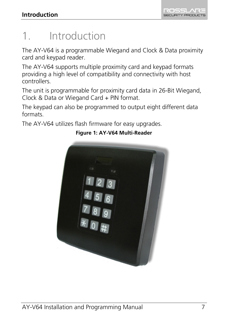# <span id="page-6-0"></span>1. Introduction

The AY-V64 is a programmable Wiegand and Clock & Data proximity card and keypad reader.

The AY-V64 supports multiple proximity card and keypad formats providing a high level of compatibility and connectivity with host controllers.

The unit is programmable for proximity card data in 26-Bit Wiegand, Clock & Data or Wiegand Card + PIN format.

The keypad can also be programmed to output eight different data formats.

<span id="page-6-1"></span>The AY-V64 utilizes flash firmware for easy upgrades.



## **Figure 1: AY-V64 Multi-Reader**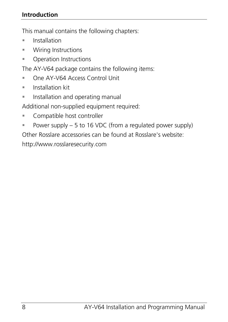## **Introduction**

This manual contains the following chapters:

- **[Installation](#page-9-0)**
- [Wiring Instructions](#page-11-0)
- **[Operation Instructions](#page-12-0)**

The AY-V64 package contains the following items:

- One AY-V64 Access Control Unit
- $\blacksquare$  Installation kit
- **Installation and operating manual**

Additional non-supplied equipment required:

- **Compatible host controller**
- Power supply  $-5$  to 16 VDC (from a regulated power supply)

Other Rosslare accessories can be found at Rosslare's website:

http://www.rosslaresecurity.com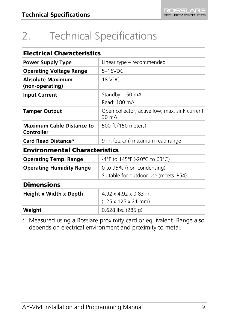# <span id="page-8-0"></span>2. Technical Specifications

| <b>Electrical Characteristics</b>              |                                                                  |
|------------------------------------------------|------------------------------------------------------------------|
| <b>Power Supply Type</b>                       | Linear type – recommended                                        |
| <b>Operating Voltage Range</b>                 | $5-16$ VDC                                                       |
| <b>Absolute Maximum</b><br>(non-operating)     | 18 VDC                                                           |
| <b>Input Current</b>                           | Standby: 150 mA                                                  |
|                                                | Read: 180 mA                                                     |
| <b>Tamper Output</b>                           | Open collector, active low, max. sink current<br>$30 \text{ mA}$ |
| <b>Maximum Cable Distance to</b><br>Controller | 500 ft (150 meters)                                              |
| Card Read Distance*                            | 9 in. (22 cm) maximum read range                                 |
| <b>Environmental Characteristics</b>           |                                                                  |
| <b>Operating Temp. Range</b>                   | -4°F to 145°F (-20°C to 63°C)                                    |
| <b>Operating Humidity Range</b>                | 0 to 95% (non-condensing)                                        |
|                                                | Suitable for outdoor use (meets IP54)                            |
| <b>Dimensions</b>                              |                                                                  |
| Height x Width x Depth                         | 492 x 492 x 083 in                                               |
|                                                | $(125 \times 125 \times 21 \text{ mm})$                          |
| Weight                                         | $0.628$ lbs. $(285q)$                                            |

\* Measured using a Rosslare proximity card or equivalent. Range also depends on electrical environment and proximity to metal.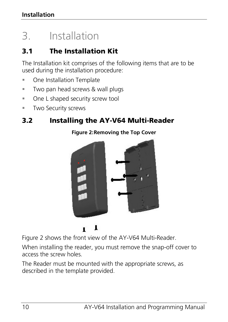# <span id="page-9-0"></span>3. Installation

# <span id="page-9-1"></span>3.1 The Installation Kit

The Installation kit comprises of the following items that are to be used during the installation procedure:

- **One Installation Template**
- **Two pan head screws & wall plugs**
- **Dre L shaped security screw tool**
- **Two Security screws**

# <span id="page-9-3"></span><span id="page-9-2"></span>3.2 Installing the AY-V64 Multi-Reader



**Figure 2:Removing the Top Cover**

1  $\blacksquare$ 

[Figure 2](#page-9-3) shows the front view of the AY-V64 Multi-Reader.

When installing the reader, you must remove the snap-off cover to access the screw holes.

The Reader must be mounted with the appropriate screws, as described in the template provided.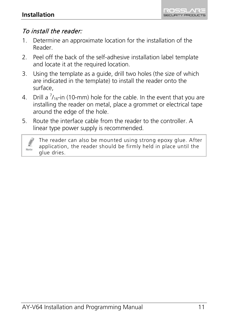

# To install the reader:

- 1. Determine an approximate location for the installation of the Reader.
- 2. Peel off the back of the self-adhesive installation label template and locate it at the required location.
- 3. Using the template as a guide, drill two holes (the size of which are indicated in the template) to install the reader onto the surface,
- 4. Drill a  $\frac{7}{16}$ -in (10-mm) hole for the cable. In the event that you are installing the reader on metal, place a grommet or electrical tape around the edge of the hole.
- 5. Route the interface cable from the reader to the controller. A linear type power supply is recommended.

Note

The reader can also be mounted using strong epoxy glue. After application, the reader should be firmly held in place until the glue dries.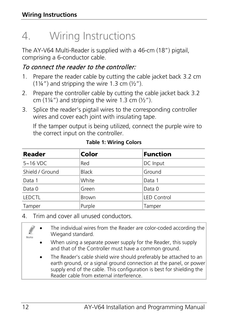# <span id="page-11-0"></span>4. Wiring Instructions

The AY-V64 Multi-Reader is supplied with a 46-cm (18") pigtail, comprising a 6-conductor cable.

# To connect the reader to the controller:

- 1. Prepare the reader cable by cutting the cable jacket back 3.2 cm  $(1\frac{1}{4})$  and stripping the wire 1.3 cm  $(\frac{1}{2})$ .
- 2. Prepare the controller cable by cutting the cable jacket back 3.2 cm  $(1\frac{1}{4})$  and stripping the wire 1.3 cm  $(\frac{1}{2})$ .
- 3. Splice the reader's pigtail wires to the corresponding controller wires and cover each joint with insulating tape.

If the tamper output is being utilized, connect the purple wire to the correct input on the controller.

<span id="page-11-1"></span>

| Reader          | Color        | <b>Function</b>    |
|-----------------|--------------|--------------------|
| $5 - 16$ VDC    | Red          | DC Input           |
| Shield / Ground | <b>Black</b> | Ground             |
| Data 1          | White        | Data 1             |
| Data 0          | Green        | Data 0             |
| LEDCTL          | Brown        | <b>LED Control</b> |
| Tamper          | Purple       | Tamper             |

**Table 1: Wiring Colors**

4. Trim and cover all unused conductors.

- The individual wires from the Reader are color-coded according the Wiegand standard.
- When using a separate power supply for the Reader, this supply and that of the Controller must have a common ground.
- The Reader's cable shield wire should preferably be attached to an earth ground, or a signal ground connection at the panel, or power supply end of the cable. This configuration is best for shielding the Reader cable from external interference.

Note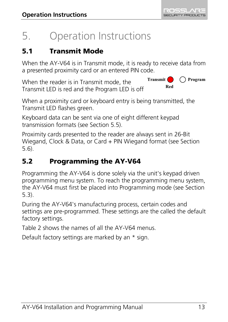# <span id="page-12-0"></span>5. Operation Instructions

# <span id="page-12-1"></span>5.1 Transmit Mode

When the AY-V64 is in Transmit mode, it is ready to receive data from a presented proximity card or an entered PIN code.

When the reader is in Transmit mode, the Transmit LED is red and the Program LED is off **Transmit Program Red**

When a proximity card or keyboard entry is being transmitted, the Transmit LED flashes green.

Keyboard data can be sent via one of eight different keypad transmission formats (see Sectio[n 5.5\).](#page-14-1)

Proximity cards presented to the reader are always sent in 26-Bit Wiegand, Clock & Data, or Card + PIN Wiegand format (see Section [5.6\)](#page-20-0).

# <span id="page-12-2"></span>5.2 Programming the AY-V64

Programming the AY-V64 is done solely via the unit's keypad driven programming menu system. To reach the programming menu system, the AY-V64 must first be placed into Programming mode (see Section [5.3\)](#page-13-0).

During the AY-V64's manufacturing process, certain codes and settings are pre-programmed. These settings are the called the default factory settings.

[Table 2](#page-13-1) shows the names of all the AY-V64 menus.

Default factory settings are marked by an \* sign.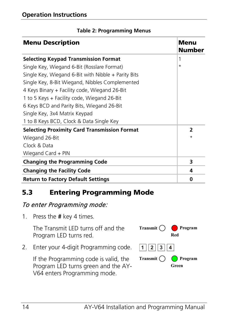<span id="page-13-1"></span>

| <b>Menu Description</b>                               | Menu<br>Number           |
|-------------------------------------------------------|--------------------------|
| <b>Selecting Keypad Transmission Format</b>           | 1                        |
| Single Key, Wiegand 6-Bit (Rosslare Format)           | $\star$                  |
| Single Key, Wiegand 6-Bit with Nibble $+$ Parity Bits |                          |
| Single Key, 8-Bit Wiegand, Nibbles Complemented       |                          |
| 4 Keys Binary + Facility code, Wiegand 26-Bit         |                          |
| 1 to 5 Keys + Facility code, Wiegand 26-Bit           |                          |
| 6 Keys BCD and Parity Bits, Wiegand 26-Bit            |                          |
| Single Key, 3x4 Matrix Keypad                         |                          |
| 1 to 8 Keys BCD, Clock & Data Single Key              |                          |
| <b>Selecting Proximity Card Transmission Format</b>   | $\overline{\phantom{a}}$ |
| Wiegand 26-Bit                                        | $\star$                  |
| Clock & Data                                          |                          |
| Wiegand Card + PIN                                    |                          |
| <b>Changing the Programming Code</b>                  | 3                        |
| <b>Changing the Facility Code</b>                     | 4                        |
| <b>Return to Factory Default Settings</b>             | 0                        |

## **Table 2: Programming Menus**

# <span id="page-13-0"></span>5.3 Entering Programming Mode

## To enter Programming mode:

1. Press the **#** key 4 times.

The Transmit LED turns off and the Program LED turns red.

2. Enter your 4-digit Programming code.

If the Programming code is valid, the Program LED turns green and the AY-V64 enters Programming mode.

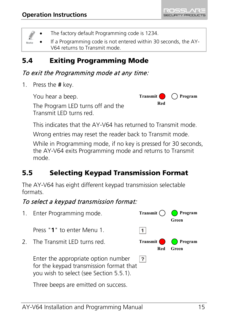

The factory default Programming code is 1234.

• If a Programming code is not entered within 30 seconds, the AY-Note V64 returns to Transmit mode.

# <span id="page-14-0"></span>5.4 Exiting Programming Mode

## To exit the Programming mode at any time:

1. Press the **#** key.

You hear a beep.

The Program LED turns off and the Transmit LED turns red.



This indicates that the AY-V64 has returned to Transmit mode.

Wrong entries may reset the reader back to Transmit mode.

While in Programming mode, if no key is pressed for 30 seconds, the AY-V64 exits Programming mode and returns to Transmit mode.

# <span id="page-14-1"></span>5.5 Selecting Keypad Transmission Format

The AY-V64 has eight different keypad transmission selectable formats.

# To select a keypad transmission format:

1. Enter Programming mode. **Transmit**  $\bigcap$  **Program Green** Press "**1**" to enter Menu 1.  $|1|$ 2 The Transmit LED turns red. **Transmit Program Red Green**Enter the appropriate option number  $|7|$ for the keypad transmission format that you wish to select (see Section [5.5.1\)](#page-15-0). Three beeps are emitted on success.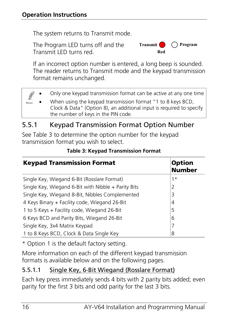The system returns to Transmit mode.

The Program LED turns off and the Transmit LED turns red.



If an incorrect option number is entered, a long beep is sounded. The reader returns to Transmit mode and the keypad transmission format remains unchanged.

|      | Only one keypad transmission format can be active at any one time                                                                                                          |
|------|----------------------------------------------------------------------------------------------------------------------------------------------------------------------------|
| Note | When using the keypad transmission format "1 to 8 keys BCD,<br>Clock & Data" (Option 8), an additional input is required to specify<br>the number of keys in the PIN code. |

# <span id="page-15-0"></span>5.5.1 **Keypad Transmission Format Option Number**

See [Table 3](#page-15-1) to determine the option number for the keypad transmission format you wish to select.

<span id="page-15-1"></span>

| <b>Keypad Transmission Format</b>                     | <b>Option</b><br><b>Number</b> |
|-------------------------------------------------------|--------------------------------|
| Single Key, Wiegand 6-Bit (Rosslare Format)           | $1*$                           |
| Single Key, Wiegand 6-Bit with Nibble $+$ Parity Bits | 2                              |
| Single Key, Wiegand 8-Bit, Nibbles Complemented       | 3                              |
| 4 Keys Binary + Facility code, Wiegand 26-Bit         | 4                              |
| 1 to 5 Keys + Facility code, Wiegand 26-Bit           | 5                              |
| 6 Keys BCD and Parity Bits, Wiegand 26-Bit            | 6                              |
| Single Key, 3x4 Matrix Keypad                         | 7                              |
| 1 to 8 Keys BCD, Clock & Data Single Key              | 8                              |

## **Table 3: Keypad Transmission Format**

\* Option 1 is the default factory setting.

More information on each of the different keypad transmission formats is available below and on the following pages.

# 5.5.1.1 Single Key, 6-Bit Wiegand (Rosslare Format)

Each key press immediately sends 4 bits with 2 parity bits added; even parity for the first 3 bits and odd parity for the last 3 bits.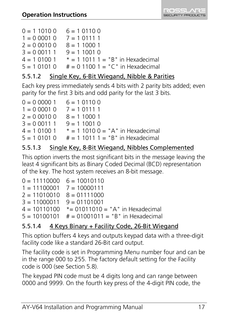

| $0 = 110100$   | $6 = 101100$                        |
|----------------|-------------------------------------|
| $1 = 0,0001,0$ | $7 = 101111$                        |
| $2 = 0.00100$  | $8 = 110001$                        |
| $3 = 0.00111$  | $9 = 110010$                        |
| 4 = 1 0100 1   | $* = 1 1011 1 = "B"$ in Hexadecimal |
| $5 = 101010$   | $# = 0$ 1100 1 = "C" in Hexadecimal |
|                |                                     |

## 5.5.1.2 Single Key, 6-Bit Wiegand, Nibble & Parities

Each key press immediately sends 4 bits with 2 parity bits added; even parity for the first 3 bits and odd parity for the last 3 bits.

| $0 = 0,00001$  | $6 = 101100$                        |
|----------------|-------------------------------------|
| $1 = 0,0001,0$ | $7 = 101111$                        |
| $2 = 0.00100$  | $8 = 110001$                        |
| $3 = 0.00111$  | $9 = 110010$                        |
| $4 = 101001$   | $* = 110100 = "A"$ in Hexadecimal   |
| $5 = 101010$   | $# = 1 1011 1 = "B"$ in Hexadecimal |
|                |                                     |

## 5.5.1.3 Single Key, 8-Bit Wiegand, Nibbles Complemented

This option inverts the most significant bits in the message leaving the least 4 significant bits as Binary Coded Decimal (BCD) representation of the key. The host system receives an 8-bit message.

| $0 = 11110000$ $6 = 10010110$ |                                                    |
|-------------------------------|----------------------------------------------------|
| $1 = 11100001$ $7 = 10000111$ |                                                    |
| $2 = 11010010$ $8 = 01111000$ |                                                    |
| $3 = 11000011$ $9 = 01101001$ |                                                    |
|                               | $4 = 10110100$ $* = 01011010 = "A"$ in Hexadecimal |
|                               | $5 = 10100101$ # = 01001011 = "B" in Hexadecimal   |

## 5.5.1.4 4 Keys Binary + Facility Code, 26-Bit Wiegand

This option buffers 4 keys and outputs keypad data with a three-digit facility code like a standard 26-Bit card output.

The facility code is set in Programming Menu number four and can be in the range 000 to 255. The factory default setting for the Facility code is 000 (see Section [5.8\)](#page-22-0).

The keypad PIN code must be 4 digits long and can range between 0000 and 9999. On the fourth key press of the 4-digit PIN code, the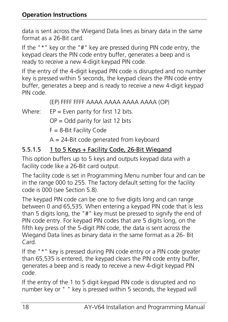data is sent across the Wiegand Data lines as binary data in the same format as a 26-Bit card.

If the "\*" key or the "#" key are pressed during PIN code entry, the keypad clears the PIN code entry buffer, generates a beep and is ready to receive a new 4-digit keypad PIN code.

If the entry of the 4-digit keypad PIN code is disrupted and no number key is pressed within 5 seconds, the keypad clears the PIN code entry buffer, generates a beep and is ready to receive a new 4-digit keypad PIN code.

```
(EP) FFFF FFFF AAAA AAAA AAAA AAAA (OP)
```
Where:  $EP = Even$  parity for first 12 bits.

 $OP = Odd$  parity for last 12 bits

F = 8-Bit Facility Code

A = 24-Bit code generated from keyboard

## 5.5.1.5 1 to 5 Keys + Facility Code, 26-Bit Wiegand

This option buffers up to 5 keys and outputs keypad data with a facility code like a 26-Bit card output.

The facility code is set in Programming Menu number four and can be in the range 000 to 255. The factory default setting for the facility code is 000 (see Section [5.8\)](#page-22-0).

The keypad PIN code can be one to five digits long and can range between 0 and 65,535. When entering a keypad PIN code that is less than 5 digits long, the "#" key must be pressed to signify the end of PIN code entry. For keypad PIN codes that are 5 digits long, on the fifth key press of the 5-digit PIN code, the data is sent across the Wiegand Data lines as binary data in the same format as a 26- Bit Card.

If the "\*" key is pressed during PIN code entry or a PIN code greater than 65,535 is entered, the keypad clears the PIN code entry buffer, generates a beep and is ready to receive a new 4-digit keypad PIN code.

If the entry of the 1 to 5 digit keypad PIN code is disrupted and no number key or " " key is pressed within 5 seconds, the keypad will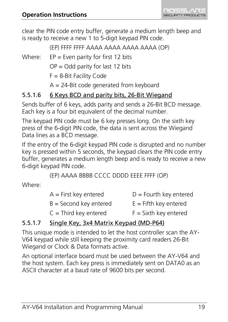clear the PIN code entry buffer, generate a medium length beep and is ready to receive a new 1 to 5-digit keypad PIN code.

(EP) FFFF FFFF AAAA AAAA AAAA AAAA (OP)

Where:  $EP = Even$  parity for first 12 bits

 $OP = Odd$  parity for last 12 bits

F = 8-Bit Facility Code

A = 24-Bit code generated from keyboard

# 5.5.1.6 6 Keys BCD and parity bits, 26-Bit Wiegand

Sends buffer of 6 keys, adds parity and sends a 26-Bit BCD message. Each key is a four bit equivalent of the decimal number.

The keypad PIN code must be 6 key presses long. On the sixth key press of the 6-digit PIN code, the data is sent across the Wiegand Data lines as a BCD message.

If the entry of the 6-digit keypad PIN code is disrupted and no number key is pressed within 5 seconds, the keypad clears the PIN code entry buffer, generates a medium length beep and is ready to receive a new 6-digit keypad PIN code.

(EP) AAAA BBBB CCCC DDDD EEEE FFFF (OP)

Where:

| $A =$ First key entered  | $D =$ Fourth key entered |
|--------------------------|--------------------------|
| $B =$ Second key entered | $E =$ Fifth key entered  |
| $C =$ Third key entered  | $F =$ Sixth key entered  |

# 5.5.1.7 Single Key, 3x4 Matrix Keypad (MD-P64)

This unique mode is intended to let the host controller scan the AY-V64 keypad while still keeping the proximity card readers 26-Bit Wiegand or Clock & Data formats active.

An optional interface board must be used between the AY-V64 and the host system. Each key press is immediately sent on DATA0 as an ASCII character at a baud rate of 9600 bits per second.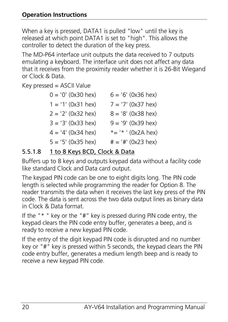When a key is pressed, DATA1 is pulled "low" until the key is released at which point DATA1 is set to "high". This allows the controller to detect the duration of the key press.

The MD-P64 interface unit outputs the data received to 7 outputs emulating a keyboard. The interface unit does not affect any data that it receives from the proximity reader whether it is 26-Bit Wiegand or Clock & Data.

Key pressed = ASCII Value

| $0 = '0'$ (0x30 hex) | $6 = '6'$ (0x36 hex)         |
|----------------------|------------------------------|
| $1 = '1' (0x31 hex)$ | $7 = '7' (0x37 hex)$         |
| $2 = '2' (0x32$ hex) | $8 = '8' (0x38$ hex)         |
| $3 = '3' (0x33 hex)$ | $9 = '9' (0x39 hex)$         |
| $4 = 4' (0x34 hex)$  | *= '* ' (0x2A hex)           |
| $5 = '5' (0x35 hex)$ | $# = '#' (0x23 \text{ hex})$ |

## 5.5.1.8 1 to 8 Keys BCD, Clock & Data

Buffers up to 8 keys and outputs keypad data without a facility code like standard Clock and Data card output.

The keypad PIN code can be one to eight digits long. The PIN code length is selected while programming the reader for Option 8. The reader transmits the data when it receives the last key press of the PIN code. The data is sent across the two data output lines as binary data in Clock & Data format.

If the "\* " key or the "#" key is pressed during PIN code entry, the keypad clears the PIN code entry buffer, generates a beep, and is ready to receive a new keypad PIN code.

If the entry of the digit keypad PIN code is disrupted and no number key or "#" key is pressed within 5 seconds, the keypad clears the PIN code entry buffer, generates a medium length beep and is ready to receive a new keypad PIN code.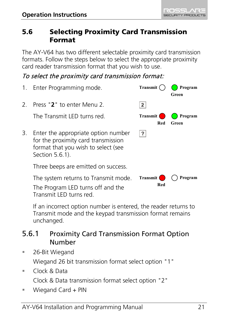

# <span id="page-20-0"></span>5.6 Selecting Proximity Card Transmission Format

The AY-V64 has two different selectable proximity card transmission formats. Follow the steps below to select the appropriate proximity card reader transmission format that you wish to use.

# To select the proximity card transmission format:

| 1.            | Enter Programming mode.                                                                                                              | Transmit (        | Program<br>Green |
|---------------|--------------------------------------------------------------------------------------------------------------------------------------|-------------------|------------------|
| $\mathcal{L}$ | Press "2" to enter Menu 2.                                                                                                           | 2                 |                  |
|               | The Transmit LED turns red.                                                                                                          | Transmit<br>Red   | Program<br>Green |
| 3.            | Enter the appropriate option number<br>for the proximity card transmission<br>format that you wish to select (see<br>Section 5.6.1). | ?                 |                  |
|               | Three beeps are emitted on success.                                                                                                  |                   |                  |
|               | The system returns to Transmit mode.<br>The Program LED turns off and the<br>Transmit LED turns red                                  | Transmit (<br>Red | Program          |

If an incorrect option number is entered, the reader returns to Transmit mode and the keypad transmission format remains unchanged.

# <span id="page-20-1"></span>5.6.1 Proximity Card Transmission Format Option Number

- 26-Bit Wiegand Wiegand 26 bit transmission format select option "1"
- Clock & Data Clock & Data transmission format select option "2"
- Wiegand Card + PIN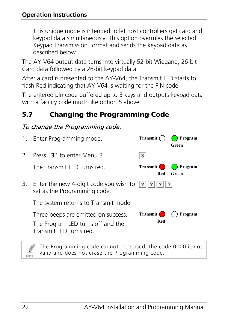This unique mode is intended to let host controllers get card and keypad data simultaneously. This option overrules the selected Keypad Transmission Format and sends the keypad data as described below.

The AY-V64 output data turns into virtually 52-bit Wiegand, 26-bit Card data followed by a 26-bit keypad data

After a card is presented to the AY-V64, the Transmit LED starts to flash Red indicating that AY-V64 is waiting for the PIN code.

The entered pin code buffered up to 5 keys and outputs keypad data with a facility code much like option 5 above

# <span id="page-21-0"></span>5.7 Changing the Programming Code

# To change the Programming code:

| $1_{\cdot}$   | Enter Programming mode.                                                                            | Transmit               | Program<br>Green |
|---------------|----------------------------------------------------------------------------------------------------|------------------------|------------------|
| $\mathcal{L}$ | Press "3" to enter Menu 3                                                                          | 3                      |                  |
|               | The Transmit LED turns red                                                                         | <b>Transmit</b><br>Red | Program<br>Green |
| 3.            | Enter the new 4-digit code you wish to $ ?  ? $<br>set as the Programming code.                    |                        | ?                |
|               | The system returns to Transmit mode.                                                               |                        |                  |
|               | Three beeps are emitted on success.<br>The Program LED turns off and the<br>Transmit LED turns red | Transmit (<br>Red      | Program          |

The Programming code cannot be erased; the code 0000 is not valid and does not erase the Programming code.

Note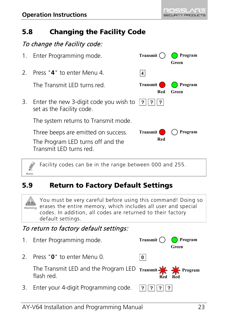Note

# <span id="page-22-0"></span>5.8 Changing the Facility Code

# To change the Facility code:

| 1.            | Enter Programming mode.                                                                            | Transmit          | Program<br>Green |
|---------------|----------------------------------------------------------------------------------------------------|-------------------|------------------|
| $\mathcal{L}$ | Press "4" to enter Menu 4.                                                                         | 4                 |                  |
|               | The Transmit LED turns red                                                                         | Transmit (<br>Red | Program<br>Green |
| 3.            | Enter the new 3-digit code you wish to $ ? ? $<br>set as the Facility code.                        | ?                 |                  |
|               | The system returns to Transmit mode.                                                               |                   |                  |
|               | Three beeps are emitted on success.<br>The Program LED turns off and the<br>Transmit LED turns red | Transmit<br>Red   | Program          |

Facility codes can be in the range between 000 and 255.

# <span id="page-22-1"></span>**5.9** Return to Factory Default Settings

You must be very careful before using this command! Doing so  $\sum_{\text{Warning}}$  erases the entire memory, which includes all user and special codes. In addition, all codes are returned to their factory default settings.

# To return to factory default settings:

1. Enter Programming mode. **Transmit**  $\bigcap$  **Program Green** 2. Press "**0**" to enter Menu 0.  $\overline{0}$ The Transmit LED and the Program LED **Transmit Program** flash red. **Red Red**3. Enter your 4-digit Programming code.  $|?||?|$  $|?||?|$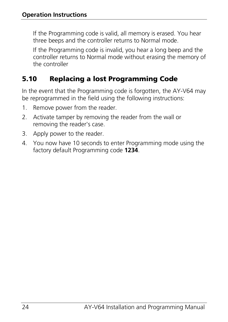If the Programming code is valid, all memory is erased. You hear three beeps and the controller returns to Normal mode.

If the Programming code is invalid, you hear a long beep and the controller returns to Normal mode without erasing the memory of the controller

# <span id="page-23-0"></span>5.10 Replacing a lost Programming Code

In the event that the Programming code is forgotten, the AY-V64 may be reprogrammed in the field using the following instructions:

- 1. Remove power from the reader.
- 2. Activate tamper by removing the reader from the wall or removing the reader's case.
- 3. Apply power to the reader.
- 4. You now have 10 seconds to enter Programming mode using the factory default Programming code **1234**.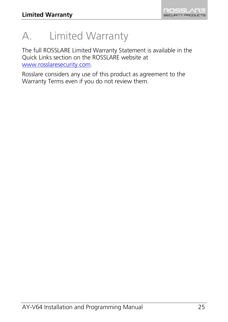# <span id="page-24-0"></span>A. Limited Warranty

The full ROSSLARE Limited Warranty Statement is available in the Quick Links section on the ROSSLARE website at [www.rosslaresecurity.com.](http://www.rosslaresecurity.com/)

Rosslare considers any use of this product as agreement to the Warranty Terms even if you do not review them.